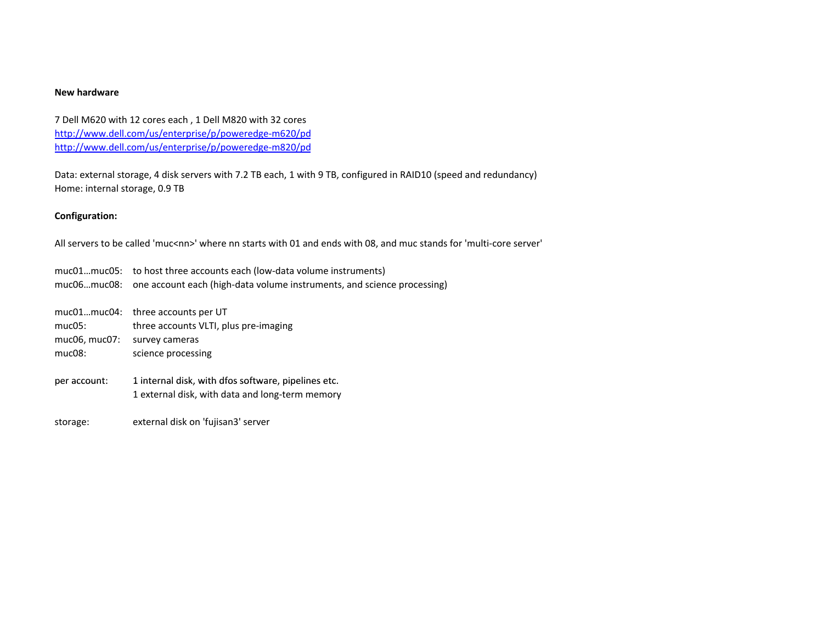#### **New hardware**

7 Dell M620 with 12 cores each , 1 Dell M820 with 32 cores [http://www.dell.com/us/enterprise/p/poweredge](http://www.dell.com/us/enterprise/p/poweredge-m620/pd)‐m620/pd [http://www.dell.com/us/enterprise/p/poweredge](http://www.dell.com/us/enterprise/p/poweredge-m820/pd)‐m820/pd

Data: external storage, 4 disk servers with 7.2 TB each, 1 with 9 TB, configured in RAID10 (speed and redundancy) Home: internal storage, 0.9 TB

# **Configuration:**

All servers to be called 'muc<nn>' where nn starts with 01 and ends with 08, and muc stands for 'multi-core server'

muc01…muc05: to host three accounts each (low‐data volume instruments) muc06…muc08: one account each (high‐data volume instruments, and science processing)

|                   | muc01muc04: three accounts per UT                                                                      |
|-------------------|--------------------------------------------------------------------------------------------------------|
| mu <sub>CO5</sub> | three accounts VLTI, plus pre-imaging                                                                  |
| muc06, muc07:     | survey cameras                                                                                         |
| $muc08$ :         | science processing                                                                                     |
| per account:      | 1 internal disk, with dfos software, pipelines etc.<br>1 external disk, with data and long-term memory |

storage: external disk on 'fujisan3' server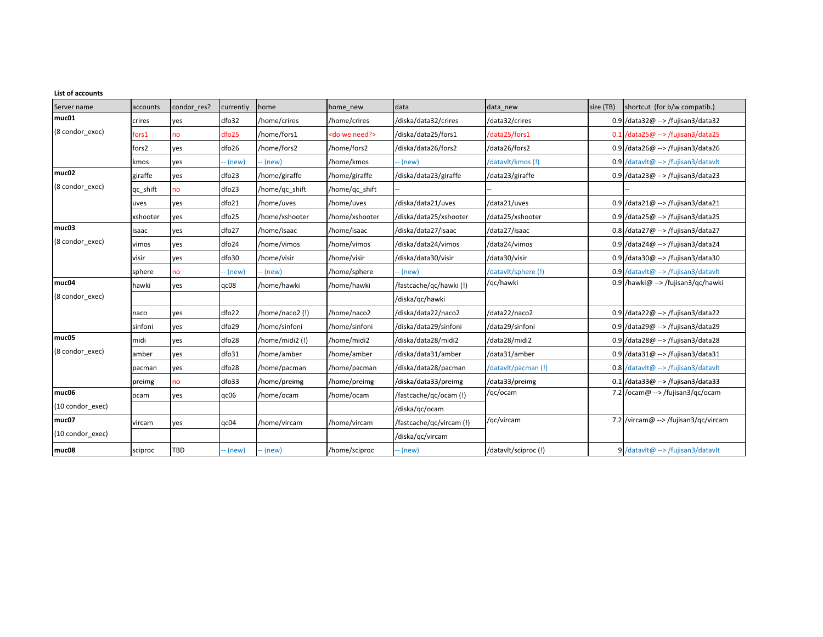| <b>List of accounts</b> |          |             |           |                |                          |                          |                     |           |                                                |  |
|-------------------------|----------|-------------|-----------|----------------|--------------------------|--------------------------|---------------------|-----------|------------------------------------------------|--|
| Server name             | accounts | condor res? | currently | home           | home new                 | data                     | data_new            | size (TB) | shortcut (for b/w compatib.)                   |  |
| muc01                   | crires   | yes         | dfo32     | /home/crires   | /home/crires             | /diska/data32/crires     | /data32/crires      |           | $0.9$ /data32@ --> /fujisan3/data32            |  |
| (8 condor exec)         | fors1    | no          | dfo25     | /home/fors1    | <do need?="" we=""></do> | /diska/data25/fors1      | /data25/fors1       |           | $0.1$ /data25 $\omega$ --> /fujisan3/data25    |  |
|                         | fors2    | yes         | dfo26     | /home/fors2    | /home/fors2              | /diska/data26/fors2      | /data26/fors2       |           | 0.9 /data26@ --> /fujisan3/data26              |  |
|                         | kmos     | yes         | -- (new)  | - (new)        | /home/kmos               | -- (new)                 | /datavlt/kmos(!)    |           | 0.9 /datavlt@ --> /fujisan3/datavlt            |  |
| muc02                   | giraffe  | yes         | dfo23     | /home/giraffe  | /home/giraffe            | /diska/data23/giraffe    | /data23/giraffe     |           | 0.9 /data23@ --> /fujisan3/data23              |  |
| (8 condor exec)         | qc_shift | no          | dfo23     | /home/qc_shift | /home/qc_shift           |                          |                     |           |                                                |  |
|                         | uves     | yes         | dfo21     | /home/uves     | /home/uves               | /diska/data21/uves       | /data21/uves        |           | $0.9$ /data21@ --> /fujisan3/data21            |  |
|                         | xshooter | yes         | dfo25     | /home/xshooter | /home/xshooter           | /diska/data25/xshooter   | /data25/xshooter    |           | $0.9$ /data25@ --> /fujisan3/data25            |  |
| muc03                   | isaac    | yes         | dfo27     | /home/isaac    | /home/isaac              | /diska/data27/isaac      | /data27/isaac       |           | $0.8$ /data27@ --> /fujisan3/data27            |  |
| (8 condor exec)         | vimos    | yes         | dfo24     | /home/vimos    | /home/vimos              | /diska/data24/vimos      | /data24/vimos       |           | $0.9$ /data24@ --> /fujisan3/data24            |  |
|                         | visir    | yes         | dfo30     | /home/visir    | /home/visir              | /diska/data30/visir      | /data30/visir       |           | $0.9$ /data30 $@ \rightarrow$ /fujisan3/data30 |  |
|                         | sphere   | no          | - (new)   | - (new)        | /home/sphere             | -- (new)                 | /datavlt/sphere (!) |           | 0.9 /datavit@ --> /fujisan3/datavit            |  |
| muc04                   | hawki    | yes         | qc08      | home/hawki     | /home/hawki              | /fastcache/gc/hawki(!)   | /qc/hawki           |           | 0.9 /hawki@ --> /fujisan3/gc/hawki             |  |
| (8 condor exec)         |          |             |           |                |                          | /diska/qc/hawki          |                     |           |                                                |  |
|                         | naco     | yes         | dfo22     | /home/naco2(!) | /home/naco2              | /diska/data22/naco2      | /data22/naco2       |           | $0.9$ /data22@ --> /fujisan3/data22            |  |
|                         | sinfoni  | yes         | dfo29     | /home/sinfoni  | /home/sinfoni            | /diska/data29/sinfoni    | /data29/sinfoni     |           | 0.9 /data29@ --> /fujisan3/data29              |  |
| muc05                   | midi     | yes         | dfo28     | /home/midi2(!) | /home/midi2              | /diska/data28/midi2      | /data28/midi2       |           | $0.9$ /data28@ --> /fujisan3/data28            |  |
| (8 condor exec)         | amber    | yes         | dfo31     | /home/amber    | /home/amber              | /diska/data31/amber      | /data31/amber       |           | $0.9$ /data31@ --> /fujisan3/data31            |  |
|                         | pacman   | yes         | dfo28     | /home/pacman   | /home/pacman             | /diska/data28/pacman     | /datavlt/pacman(!)  |           | $0.8$ /datavlt@ --> /fujisan3/datavlt          |  |
|                         | preimg   | no          | dfo33     | /home/preimg   | /home/preimg             | /diska/data33/preimg     | /data33/preimg      |           | $0.1$ /data33@ --> /fujisan3/data33            |  |
| muc06                   | ocam     | yes         | qc06      | /home/ocam     | /home/ocam               | /fastcache/qc/ocam (!)   | /qc/ocam            |           | 7.2 /ocam@ --> /fujisan3/qc/ocam               |  |
| (10 condor_exec)        |          |             |           |                |                          | /diska/qc/ocam           |                     |           |                                                |  |
| muc07                   | vircam   | yes         | qc04      | /home/vircam   | /home/vircam             | /fastcache/qc/vircam (!) | /qc/vircam          |           | 7.2 /vircam@ --> /fujisan3/qc/vircam           |  |
| (10 condor exec)        |          |             |           |                |                          | /diska/qc/vircam         |                     |           |                                                |  |
| muc08                   | sciproc  | TBD         | -- (new)  | - (new)        | /home/sciproc            | -- (new)                 | /datavlt/sciproc(!) |           | 9 /datavlt@ --> /fujisan3/datavlt              |  |